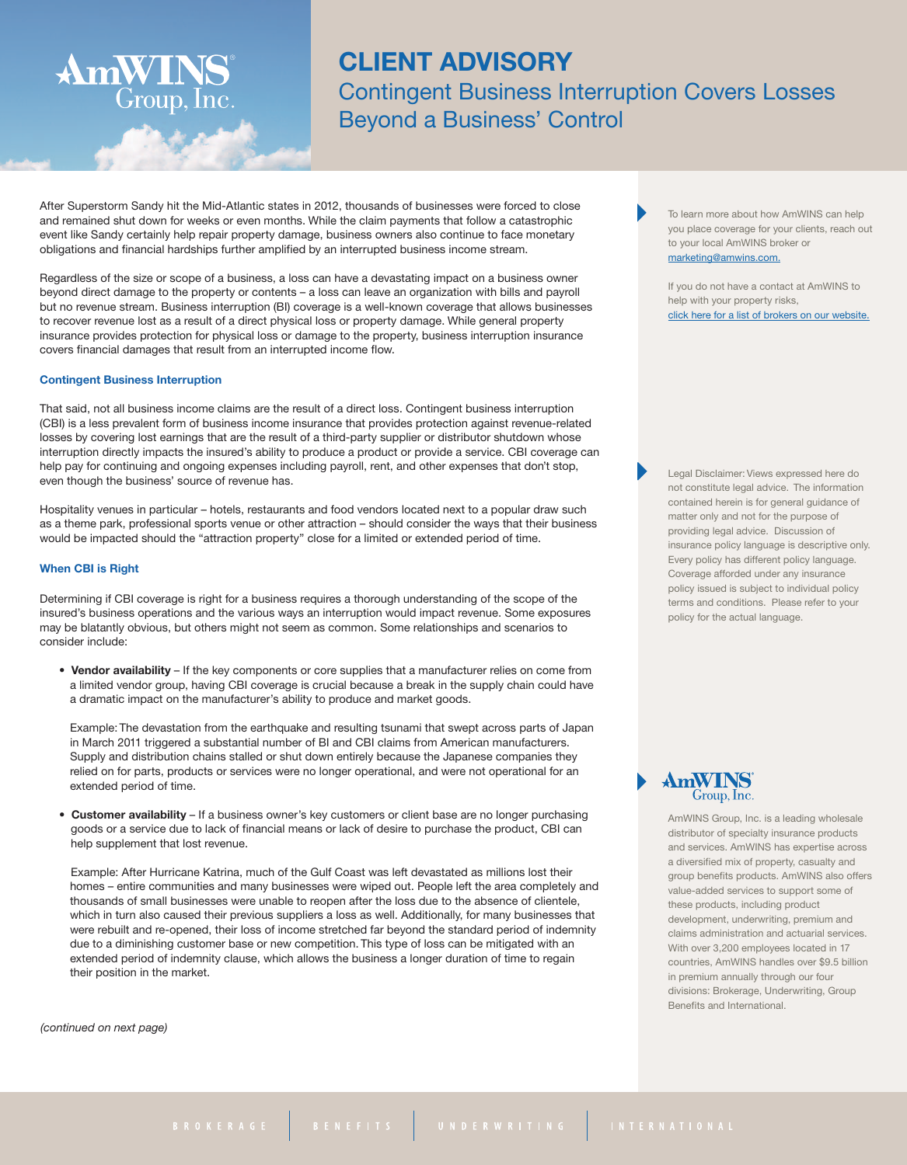## **CLIENT ADVISORY**

Contingent Business Interruption Covers Losses Beyond a Business' Control

After Superstorm Sandy hit the Mid-Atlantic states in 2012, thousands of businesses were forced to close and remained shut down for weeks or even months. While the claim payments that follow a catastrophic event like Sandy certainly help repair property damage, business owners also continue to face monetary obligations and financial hardships further amplified by an interrupted business income stream.

Regardless of the size or scope of a business, a loss can have a devastating impact on a business owner beyond direct damage to the property or contents – a loss can leave an organization with bills and payroll but no revenue stream. Business interruption (BI) coverage is a well-known coverage that allows businesses to recover revenue lost as a result of a direct physical loss or property damage. While general property insurance provides protection for physical loss or damage to the property, business interruption insurance covers financial damages that result from an interrupted income flow.

#### **Contingent Business Interruption**

AmWINS®

Group, Inc.

That said, not all business income claims are the result of a direct loss. Contingent business interruption (CBI) is a less prevalent form of business income insurance that provides protection against revenue-related losses by covering lost earnings that are the result of a third-party supplier or distributor shutdown whose interruption directly impacts the insured's ability to produce a product or provide a service. CBI coverage can help pay for continuing and ongoing expenses including payroll, rent, and other expenses that don't stop, even though the business' source of revenue has.

Hospitality venues in particular – hotels, restaurants and food vendors located next to a popular draw such as a theme park, professional sports venue or other attraction – should consider the ways that their business would be impacted should the "attraction property" close for a limited or extended period of time.

### **When CBI is Right**

Determining if CBI coverage is right for a business requires a thorough understanding of the scope of the insured's business operations and the various ways an interruption would impact revenue. Some exposures may be blatantly obvious, but others might not seem as common. Some relationships and scenarios to consider include:

• **Vendor availability** – If the key components or core supplies that a manufacturer relies on come from a limited vendor group, having CBI coverage is crucial because a break in the supply chain could have a dramatic impact on the manufacturer's ability to produce and market goods.

Example: The devastation from the earthquake and resulting tsunami that swept across parts of Japan in March 2011 triggered a substantial number of BI and CBI claims from American manufacturers. Supply and distribution chains stalled or shut down entirely because the Japanese companies they relied on for parts, products or services were no longer operational, and were not operational for an extended period of time.

• **Customer availability** – If a business owner's key customers or client base are no longer purchasing goods or a service due to lack of financial means or lack of desire to purchase the product, CBI can help supplement that lost revenue.

Example: After Hurricane Katrina, much of the Gulf Coast was left devastated as millions lost their homes – entire communities and many businesses were wiped out. People left the area completely and thousands of small businesses were unable to reopen after the loss due to the absence of clientele, which in turn also caused their previous suppliers a loss as well. Additionally, for many businesses that were rebuilt and re-opened, their loss of income stretched far beyond the standard period of indemnity due to a diminishing customer base or new competition. This type of loss can be mitigated with an extended period of indemnity clause, which allows the business a longer duration of time to regain their position in the market.

*(continued on next page)*

To learn more about how AmWINS can help you place coverage for your clients, reach out to your local AmWINS broker or [marketing@amwins.com.](mailto:marketing@amwins.com)

If you do not have a contact at AmWINS to help with your property risks. click here for a list of brokers on our [website.](http://amwins.com/SearchCenter/Pages/ContactSearch.aspx?k=property)

Legal Disclaimer: Views expressed here do not constitute legal advice. The information contained herein is for general guidance of matter only and not for the purpose of providing legal advice. Discussion of insurance policy language is descriptive only. Every policy has different policy language. Coverage afforded under any insurance policy issued is subject to individual policy terms and conditions. Please refer to your policy for the actual language.

# AmWINS

AmWINS Group, Inc. is a leading wholesale distributor of specialty insurance products and services. AmWINS has expertise across a diversified mix of property, casualty and group benefits products. AmWINS also offers value-added services to support some of these products, including product development, underwriting, premium and claims administration and actuarial services. With over 3,200 employees located in 17 countries, AmWINS handles over \$9.5 billion in premium annually through our four divisions: Brokerage, Underwriting, Group Benefits and International.

BROKERAGE BENEFITS UNDERWRITING INTERNATIONAL